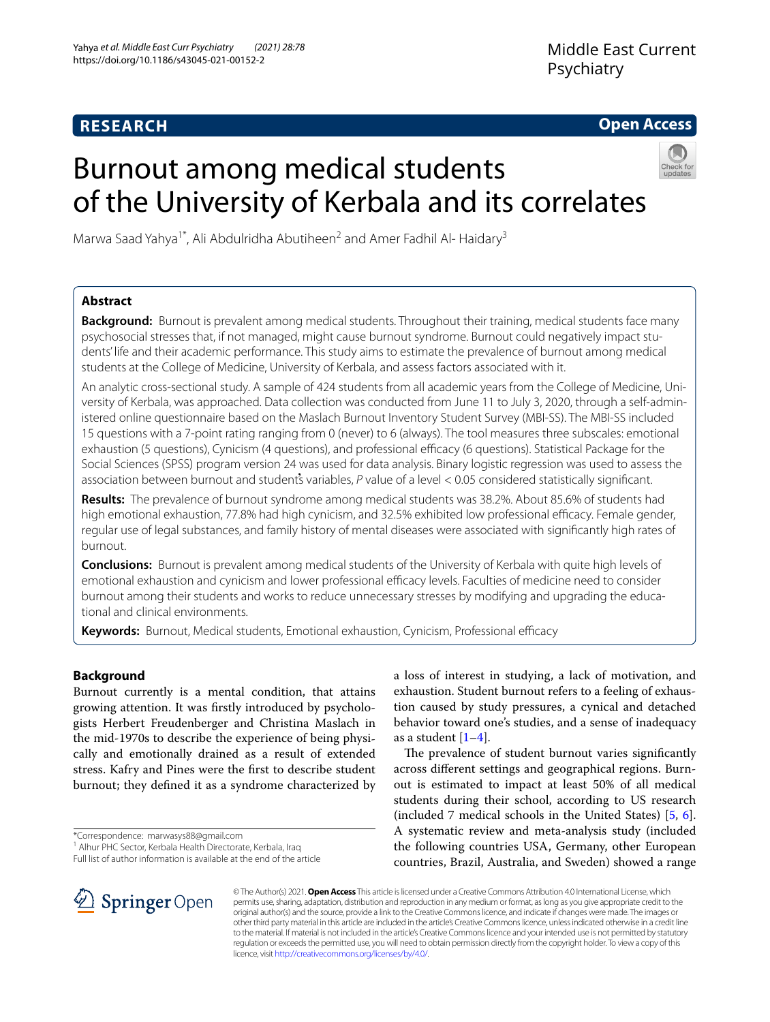# **RESEARCH**

# **Open Access**

# Burnout among medical students of the University of Kerbala and its correlates



Marwa Saad Yahya<sup>1\*</sup>, Ali Abdulridha Abutiheen<sup>2</sup> and Amer Fadhil Al-Haidary<sup>3</sup>

# **Abstract**

**Background:** Burnout is prevalent among medical students. Throughout their training, medical students face many psychosocial stresses that, if not managed, might cause burnout syndrome. Burnout could negatively impact students' life and their academic performance. This study aims to estimate the prevalence of burnout among medical students at the College of Medicine, University of Kerbala, and assess factors associated with it.

An analytic cross-sectional study. A sample of 424 students from all academic years from the College of Medicine, University of Kerbala, was approached. Data collection was conducted from June 11 to July 3, 2020, through a self-administered online questionnaire based on the Maslach Burnout Inventory Student Survey (MBI-SS). The MBI-SS included 15 questions with a 7-point rating ranging from 0 (never) to 6 (always). The tool measures three subscales: emotional exhaustion (5 questions), Cynicism (4 questions), and professional efficacy (6 questions). Statistical Package for the Social Sciences (SPSS) program version 24 was used for data analysis. Binary logistic regression was used to assess the association between burnout and student's variables, P value of a level < 0.05 considered statistically significant.

**Results:** The prevalence of burnout syndrome among medical students was 38.2%. About 85.6% of students had high emotional exhaustion, 77.8% had high cynicism, and 32.5% exhibited low professional efficacy. Female gender, regular use of legal substances, and family history of mental diseases were associated with signifcantly high rates of burnout.

**Conclusions:** Burnout is prevalent among medical students of the University of Kerbala with quite high levels of emotional exhaustion and cynicism and lower professional efficacy levels. Faculties of medicine need to consider burnout among their students and works to reduce unnecessary stresses by modifying and upgrading the educational and clinical environments.

Keywords: Burnout, Medical students, Emotional exhaustion, Cynicism, Professional efficacy

# **Background**

Burnout currently is a mental condition, that attains growing attention. It was frstly introduced by psychologists Herbert Freudenberger and Christina Maslach in the mid-1970s to describe the experience of being physically and emotionally drained as a result of extended stress. Kafry and Pines were the frst to describe student burnout; they defned it as a syndrome characterized by

\*Correspondence: marwasys88@gmail.com

Full list of author information is available at the end of the article

a loss of interest in studying, a lack of motivation, and exhaustion. Student burnout refers to a feeling of exhaustion caused by study pressures, a cynical and detached behavior toward one's studies, and a sense of inadequacy as a student  $[1-4]$  $[1-4]$ .

The prevalence of student burnout varies significantly across diferent settings and geographical regions. Burnout is estimated to impact at least 50% of all medical students during their school, according to US research (included 7 medical schools in the United States) [[5,](#page-5-2) [6](#page-6-0)]. A systematic review and meta-analysis study (included the following countries USA, Germany, other European countries, Brazil, Australia, and Sweden) showed a range



© The Author(s) 2021. **Open Access** This article is licensed under a Creative Commons Attribution 4.0 International License, which permits use, sharing, adaptation, distribution and reproduction in any medium or format, as long as you give appropriate credit to the original author(s) and the source, provide a link to the Creative Commons licence, and indicate if changes were made. The images or other third party material in this article are included in the article's Creative Commons licence, unless indicated otherwise in a credit line to the material. If material is not included in the article's Creative Commons licence and your intended use is not permitted by statutory regulation or exceeds the permitted use, you will need to obtain permission directly from the copyright holder. To view a copy of this licence, visit [http://creativecommons.org/licenses/by/4.0/.](http://creativecommons.org/licenses/by/4.0/)

<sup>&</sup>lt;sup>1</sup> Alhur PHC Sector, Kerbala Health Directorate, Kerbala, Iraq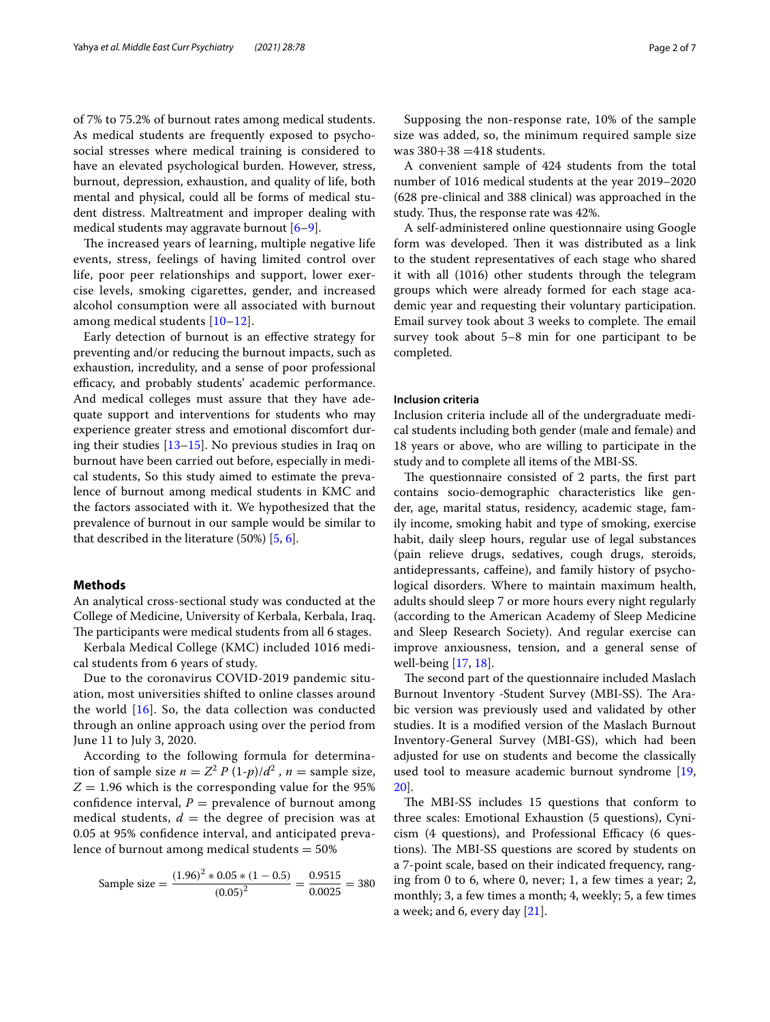of 7% to 75.2% of burnout rates among medical students. As medical students are frequently exposed to psychosocial stresses where medical training is considered to have an elevated psychological burden. However, stress, burnout, depression, exhaustion, and quality of life, both mental and physical, could all be forms of medical student distress. Maltreatment and improper dealing with medical students may aggravate burnout [[6](#page-6-0)[–9](#page-6-1)].

The increased years of learning, multiple negative life events, stress, feelings of having limited control over life, poor peer relationships and support, lower exercise levels, smoking cigarettes, gender, and increased alcohol consumption were all associated with burnout among medical students [[10](#page-6-2)–[12](#page-6-3)].

Early detection of burnout is an efective strategy for preventing and/or reducing the burnout impacts, such as exhaustion, incredulity, and a sense of poor professional efficacy, and probably students' academic performance. And medical colleges must assure that they have adequate support and interventions for students who may experience greater stress and emotional discomfort during their studies [[13–](#page-6-4)[15](#page-6-5)]. No previous studies in Iraq on burnout have been carried out before, especially in medical students, So this study aimed to estimate the prevalence of burnout among medical students in KMC and the factors associated with it. We hypothesized that the prevalence of burnout in our sample would be similar to that described in the literature (50%) [\[5](#page-5-2), [6\]](#page-6-0).

# **Methods**

An analytical cross-sectional study was conducted at the College of Medicine, University of Kerbala, Kerbala, Iraq. The participants were medical students from all 6 stages.

Kerbala Medical College (KMC) included 1016 medical students from 6 years of study.

Due to the coronavirus COVID-2019 pandemic situation, most universities shifted to online classes around the world [[16\]](#page-6-6). So, the data collection was conducted through an online approach using over the period from June 11 to July 3, 2020.

According to the following formula for determination of sample size  $n = Z^2 P (1-p)/d^2$ ,  $n =$  sample size,  $Z = 1.96$  which is the corresponding value for the 95% confidence interval,  $P =$  prevalence of burnout among medical students,  $d =$  the degree of precision was at 0.05 at 95% confdence interval, and anticipated prevalence of burnout among medical students  $= 50\%$ 

Sample size = 
$$
\frac{(1.96)^2 * 0.05 * (1 - 0.5)}{(0.05)^2} = \frac{0.9515}{0.0025} = 380
$$

Supposing the non-response rate, 10% of the sample size was added, so, the minimum required sample size was  $380 + 38 = 418$  students.

A convenient sample of 424 students from the total number of 1016 medical students at the year 2019–2020 (628 pre-clinical and 388 clinical) was approached in the study. Thus, the response rate was 42%.

A self-administered online questionnaire using Google form was developed. Then it was distributed as a link to the student representatives of each stage who shared it with all (1016) other students through the telegram groups which were already formed for each stage academic year and requesting their voluntary participation. Email survey took about 3 weeks to complete. The email survey took about 5–8 min for one participant to be completed.

# **Inclusion criteria**

Inclusion criteria include all of the undergraduate medical students including both gender (male and female) and 18 years or above, who are willing to participate in the study and to complete all items of the MBI-SS.

The questionnaire consisted of 2 parts, the first part contains socio-demographic characteristics like gender, age, marital status, residency, academic stage, family income, smoking habit and type of smoking, exercise habit, daily sleep hours, regular use of legal substances (pain relieve drugs, sedatives, cough drugs, steroids, antidepressants, cafeine), and family history of psychological disorders. Where to maintain maximum health, adults should sleep 7 or more hours every night regularly (according to the American Academy of Sleep Medicine and Sleep Research Society). And regular exercise can improve anxiousness, tension, and a general sense of well-being [[17,](#page-6-7) [18\]](#page-6-8).

The second part of the questionnaire included Maslach Burnout Inventory -Student Survey (MBI-SS). The Arabic version was previously used and validated by other studies. It is a modifed version of the Maslach Burnout Inventory-General Survey (MBI-GS), which had been adjusted for use on students and become the classically used tool to measure academic burnout syndrome [[19](#page-6-9), [20\]](#page-6-10).

The MBI-SS includes 15 questions that conform to three scales: Emotional Exhaustion (5 questions), Cyni $cism$  (4 questions), and Professional Efficacy (6 questions). The MBI-SS questions are scored by students on a 7-point scale, based on their indicated frequency, ranging from 0 to 6, where 0, never; 1, a few times a year; 2, monthly; 3, a few times a month; 4, weekly; 5, a few times a week; and 6, every day [\[21\]](#page-6-11).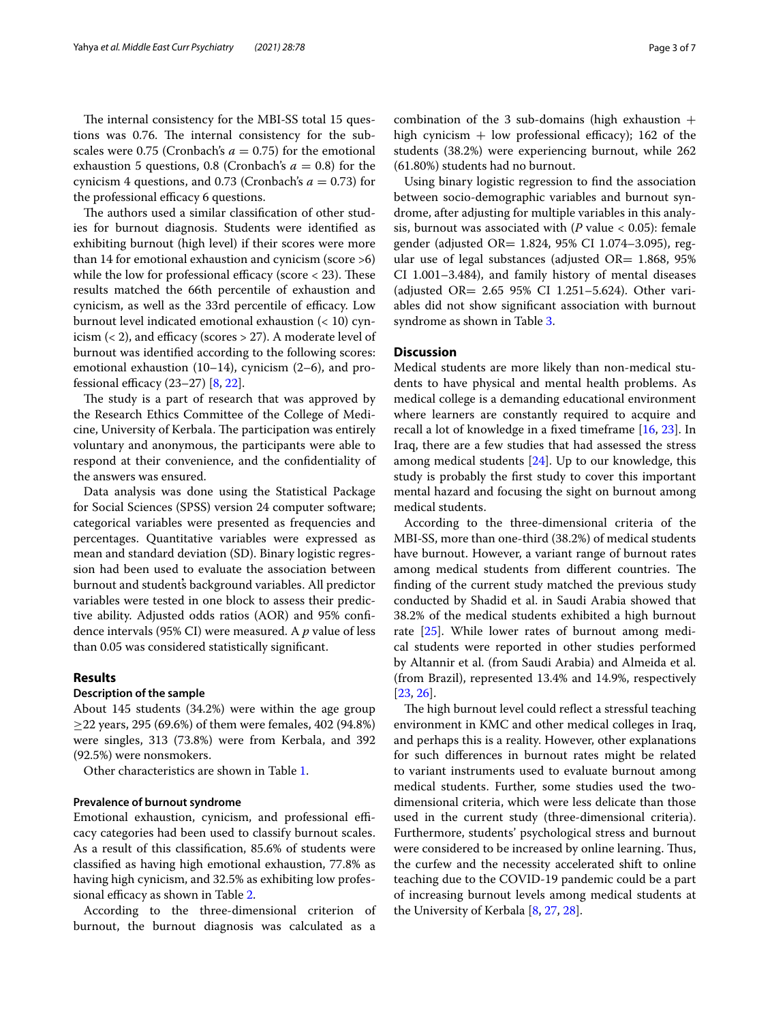The internal consistency for the MBI-SS total 15 questions was 0.76. The internal consistency for the subscales were 0.75 (Cronbach's  $a = 0.75$ ) for the emotional exhaustion 5 questions, 0.8 (Cronbach's  $a = 0.8$ ) for the cynicism 4 questions, and 0.73 (Cronbach's  $a = 0.73$ ) for the professional efficacy 6 questions.

The authors used a similar classification of other studies for burnout diagnosis. Students were identifed as exhibiting burnout (high level) if their scores were more than 14 for emotional exhaustion and cynicism (score >6) while the low for professional efficacy (score  $<$  23). These results matched the 66th percentile of exhaustion and cynicism, as well as the 33rd percentile of efficacy. Low burnout level indicated emotional exhaustion (< 10) cynicism  $(< 2)$ , and efficacy (scores > 27). A moderate level of burnout was identifed according to the following scores: emotional exhaustion (10–14), cynicism (2–6), and professional efficacy  $(23-27)$   $[8, 22]$  $[8, 22]$  $[8, 22]$  $[8, 22]$ .

The study is a part of research that was approved by the Research Ethics Committee of the College of Medicine, University of Kerbala. The participation was entirely voluntary and anonymous, the participants were able to respond at their convenience, and the confdentiality of the answers was ensured.

Data analysis was done using the Statistical Package for Social Sciences (SPSS) version 24 computer software; categorical variables were presented as frequencies and percentages. Quantitative variables were expressed as mean and standard deviation (SD). Binary logistic regression had been used to evaluate the association between burnout and students̓ background variables. All predictor variables were tested in one block to assess their predictive ability. Adjusted odds ratios (AOR) and 95% confdence intervals (95% CI) were measured. A *p* value of less than 0.05 was considered statistically signifcant.

# **Results**

## **Description of the sample**

About 145 students (34.2%) were within the age group  $\geq$ 22 years, 295 (69.6%) of them were females, 402 (94.8%) were singles, 313 (73.8%) were from Kerbala, and 392 (92.5%) were nonsmokers.

Other characteristics are shown in Table [1.](#page-3-0)

# **Prevalence of burnout syndrome**

Emotional exhaustion, cynicism, and professional efficacy categories had been used to classify burnout scales. As a result of this classifcation, 85.6% of students were classifed as having high emotional exhaustion, 77.8% as having high cynicism, and 32.5% as exhibiting low profes-sional efficacy as shown in Table [2.](#page-3-1)

According to the three-dimensional criterion of burnout, the burnout diagnosis was calculated as a combination of the 3 sub-domains (high exhaustion  $+$ high cynicism  $+$  low professional efficacy); 162 of the students (38.2%) were experiencing burnout, while 262 (61.80%) students had no burnout.

Using binary logistic regression to fnd the association between socio-demographic variables and burnout syndrome, after adjusting for multiple variables in this analysis, burnout was associated with (*P* value < 0.05): female gender (adjusted OR= 1.824, 95% CI 1.074–3.095), regular use of legal substances (adjusted OR= 1.868, 95% CI 1.001–3.484), and family history of mental diseases (adjusted OR= 2.65 95% CI 1.251–5.624). Other variables did not show signifcant association with burnout syndrome as shown in Table [3](#page-4-0).

# **Discussion**

Medical students are more likely than non-medical students to have physical and mental health problems. As medical college is a demanding educational environment where learners are constantly required to acquire and recall a lot of knowledge in a fxed timeframe [\[16,](#page-6-6) [23\]](#page-6-14). In Iraq, there are a few studies that had assessed the stress among medical students [[24\]](#page-6-15). Up to our knowledge, this study is probably the frst study to cover this important mental hazard and focusing the sight on burnout among medical students.

According to the three-dimensional criteria of the MBI-SS, more than one-third (38.2%) of medical students have burnout. However, a variant range of burnout rates among medical students from different countries. The fnding of the current study matched the previous study conducted by Shadid et al. in Saudi Arabia showed that 38.2% of the medical students exhibited a high burnout rate [\[25](#page-6-16)]. While lower rates of burnout among medical students were reported in other studies performed by Altannir et al. (from Saudi Arabia) and Almeida et al. (from Brazil), represented 13.4% and 14.9%, respectively [[23,](#page-6-14) [26](#page-6-17)].

The high burnout level could reflect a stressful teaching environment in KMC and other medical colleges in Iraq, and perhaps this is a reality. However, other explanations for such diferences in burnout rates might be related to variant instruments used to evaluate burnout among medical students. Further, some studies used the twodimensional criteria, which were less delicate than those used in the current study (three-dimensional criteria). Furthermore, students' psychological stress and burnout were considered to be increased by online learning. Thus, the curfew and the necessity accelerated shift to online teaching due to the COVID-19 pandemic could be a part of increasing burnout levels among medical students at the University of Kerbala [[8,](#page-6-12) [27](#page-6-18), [28](#page-6-19)].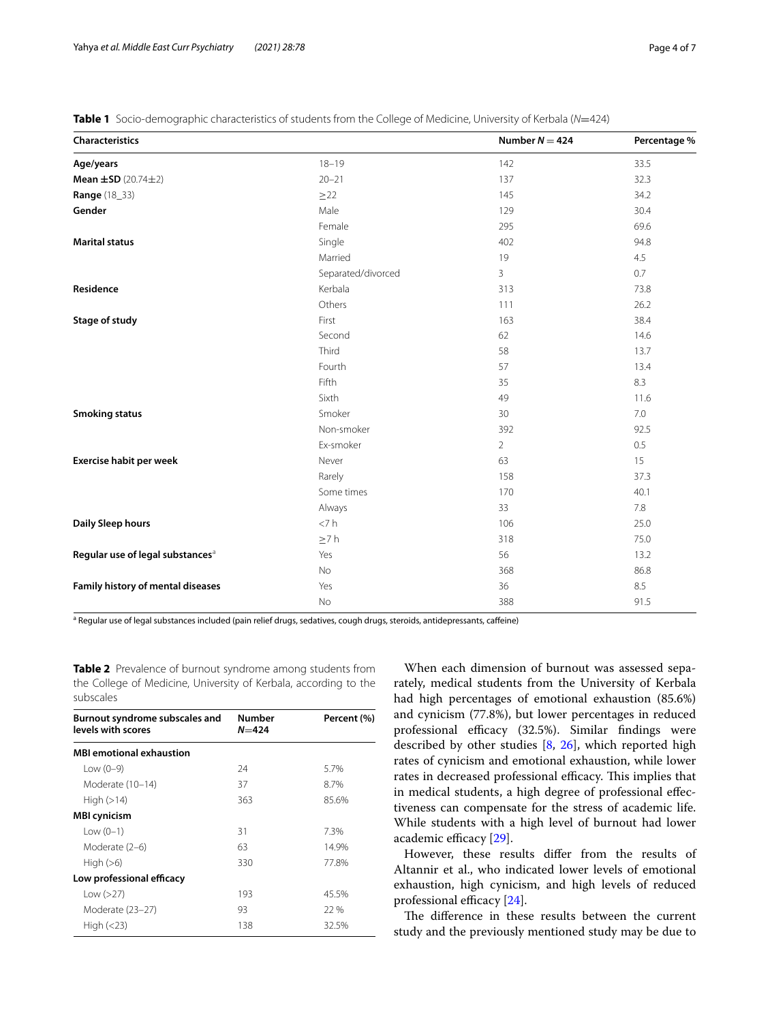| <b>Characteristics</b>                         |                    | Number $N = 424$ | Percentage % |
|------------------------------------------------|--------------------|------------------|--------------|
| Age/years                                      | $18 - 19$          | 142              | 33.5         |
| <b>Mean <math>\pm</math>SD</b> (20.74 $\pm$ 2) | $20 - 21$          | 137              | 32.3         |
| <b>Range</b> (18_33)                           | $\geq$ 22          | 145              | 34.2         |
| Gender                                         | Male               | 129              | 30.4         |
|                                                | Female             | 295              | 69.6         |
| <b>Marital status</b>                          | Single             | 402              | 94.8         |
|                                                | Married            | 19               | 4.5          |
|                                                | Separated/divorced | 3                | 0.7          |
| Residence                                      | Kerbala            | 313              | 73.8         |
|                                                | Others             | 111              | 26.2         |
| Stage of study                                 | First              | 163              | 38.4         |
|                                                | Second             | 62               | 14.6         |
|                                                | Third              | 58               | 13.7         |
|                                                | Fourth             | 57               | 13.4         |
|                                                | Fifth              | 35               | 8.3          |
|                                                | Sixth              | 49               | 11.6         |
| <b>Smoking status</b>                          | Smoker             | 30               | 7.0          |
|                                                | Non-smoker         | 392              | 92.5         |
|                                                | Ex-smoker          | $\overline{2}$   | 0.5          |
| Exercise habit per week                        | Never              | 63               | 15           |
|                                                | Rarely             | 158              | 37.3         |
|                                                | Some times         | 170              | 40.1         |
|                                                | Always             | 33               | 7.8          |
| Daily Sleep hours                              | < 7 h              | 106              | 25.0         |
|                                                | $\geq 7 h$         | 318              | 75.0         |
| Regular use of legal substances <sup>a</sup>   | Yes                | 56               | 13.2         |
|                                                | No                 | 368              | 86.8         |
| Family history of mental diseases              | Yes                | 36               | 8.5          |
|                                                | No                 | 388              | 91.5         |

<span id="page-3-0"></span>**Table 1** Socio-demographic characteristics of students from the College of Medicine, University of Kerbala (*N*=424)

<sup>a</sup> Regular use of legal substances included (pain relief drugs, sedatives, cough drugs, steroids, antidepressants, caffeine)

<span id="page-3-1"></span>**Table 2** Prevalence of burnout syndrome among students from the College of Medicine, University of Kerbala, according to the subscales

| Burnout syndrome subscales and<br>levels with scores | <b>Number</b><br>$N = 424$ | Percent (%) |
|------------------------------------------------------|----------------------------|-------------|
| <b>MBI emotional exhaustion</b>                      |                            |             |
| Low $(0-9)$                                          | 24                         | 5.7%        |
| Moderate (10-14)                                     | 37                         | 8.7%        |
| High $(>14)$                                         | 363                        | 85.6%       |
| <b>MBI</b> cynicism                                  |                            |             |
| Low $(0-1)$                                          | 31                         | 7.3%        |
| Moderate (2-6)                                       | 63                         | 14.9%       |
| High $(>6)$                                          | 330                        | 77.8%       |
| Low professional efficacy                            |                            |             |
| Low $(>27)$                                          | 193                        | 45.5%       |
| Moderate (23-27)                                     | 93                         | 22 %        |
| High $(<$ 23)                                        | 138                        | 32.5%       |

When each dimension of burnout was assessed separately, medical students from the University of Kerbala had high percentages of emotional exhaustion (85.6%) and cynicism (77.8%), but lower percentages in reduced professional efficacy (32.5%). Similar findings were described by other studies [[8,](#page-6-12) [26](#page-6-17)], which reported high rates of cynicism and emotional exhaustion, while lower rates in decreased professional efficacy. This implies that in medical students, a high degree of professional efectiveness can compensate for the stress of academic life. While students with a high level of burnout had lower academic efficacy [[29\]](#page-6-20).

However, these results difer from the results of Altannir et al., who indicated lower levels of emotional exhaustion, high cynicism, and high levels of reduced professional efficacy  $[24]$  $[24]$  $[24]$ .

The difference in these results between the current study and the previously mentioned study may be due to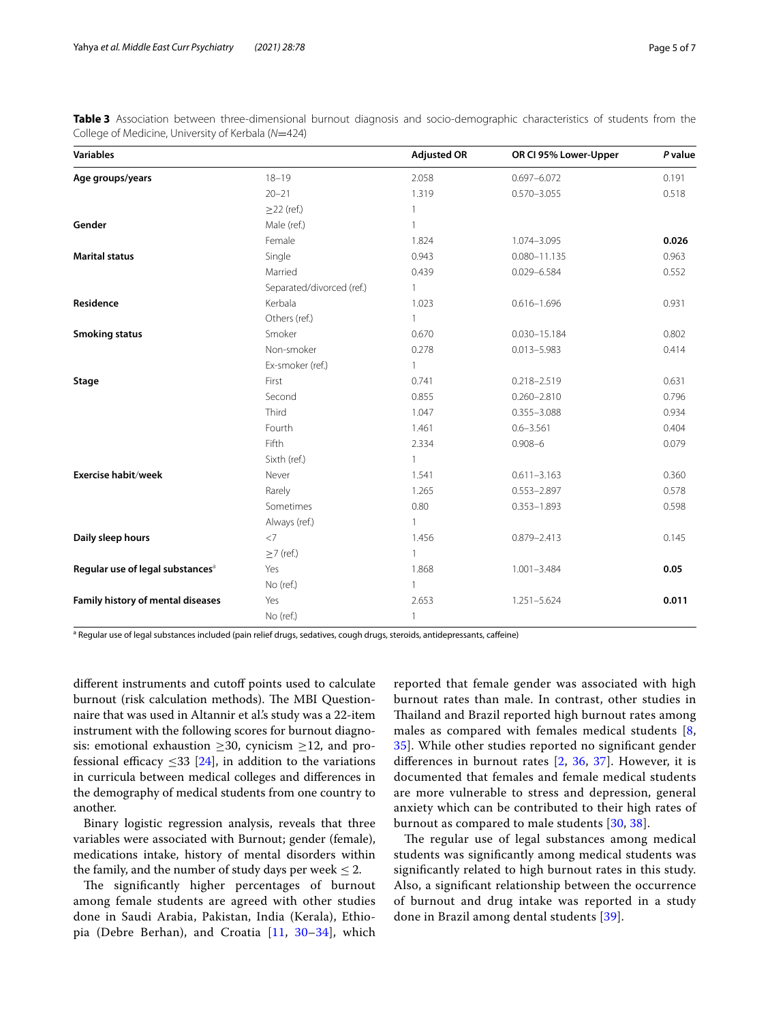| <b>Variables</b>                             |                           | <b>Adjusted OR</b> | OR CI 95% Lower-Upper | P value |
|----------------------------------------------|---------------------------|--------------------|-----------------------|---------|
| Age groups/years                             | $18 - 19$                 | 2.058              | $0.697 - 6.072$       | 0.191   |
|                                              | $20 - 21$                 | 1.319              | $0.570 - 3.055$       | 0.518   |
|                                              | $\geq$ 22 (ref.)          | 1                  |                       |         |
| Gender                                       | Male (ref.)               | 1                  |                       |         |
|                                              | Female                    | 1.824              | 1.074-3.095           | 0.026   |
| <b>Marital status</b>                        | Single                    | 0.943              | $0.080 - 11.135$      | 0.963   |
|                                              | Married                   | 0.439              | 0.029-6.584           | 0.552   |
|                                              | Separated/divorced (ref.) | $\mathbf{1}$       |                       |         |
| Residence                                    | Kerbala                   | 1.023              | $0.616 - 1.696$       | 0.931   |
|                                              | Others (ref.)             |                    |                       |         |
| <b>Smoking status</b>                        | Smoker                    | 0.670              | $0.030 - 15.184$      | 0.802   |
|                                              | Non-smoker                | 0.278              | $0.013 - 5.983$       | 0.414   |
|                                              | Ex-smoker (ref.)          | $\mathbf{1}$       |                       |         |
| Stage                                        | First                     | 0.741              | $0.218 - 2.519$       | 0.631   |
|                                              | Second                    | 0.855              | $0.260 - 2.810$       | 0.796   |
|                                              | Third                     | 1.047              | $0.355 - 3.088$       | 0.934   |
|                                              | Fourth                    | 1.461              | $0.6 - 3.561$         | 0.404   |
|                                              | Fifth                     | 2.334              | $0.908 - 6$           | 0.079   |
|                                              | Sixth (ref.)              | $\mathbf{1}$       |                       |         |
| Exercise habit/week                          | Never                     | 1.541              | $0.611 - 3.163$       | 0.360   |
|                                              | Rarely                    | 1.265              | $0.553 - 2.897$       | 0.578   |
|                                              | Sometimes                 | 0.80               | $0.353 - 1.893$       | 0.598   |
|                                              | Always (ref.)             | 1                  |                       |         |
| Daily sleep hours                            | $<$ 7                     | 1.456              | $0.879 - 2.413$       | 0.145   |
|                                              | $\geq$ 7 (ref.)           | $\mathbf{1}$       |                       |         |
| Regular use of legal substances <sup>a</sup> | Yes                       | 1.868              | $1.001 - 3.484$       | 0.05    |
|                                              | No (ref.)                 | $\mathbf{1}$       |                       |         |
| Family history of mental diseases            | Yes                       | 2.653              | 1.251-5.624           | 0.011   |
|                                              | No (ref.)                 | 1                  |                       |         |

<span id="page-4-0"></span>**Table 3** Association between three-dimensional burnout diagnosis and socio-demographic characteristics of students from the College of Medicine, University of Kerbala (*N*=424)

<sup>a</sup> Regular use of legal substances included (pain relief drugs, sedatives, cough drugs, steroids, antidepressants, caffeine)

different instruments and cutoff points used to calculate burnout (risk calculation methods). The MBI Questionnaire that was used in Altannir et al.'s study was a 22-item instrument with the following scores for burnout diagnosis: emotional exhaustion  $\geq 30$ , cynicism  $\geq 12$ , and professional efficacy  $\leq$ 33 [[24\]](#page-6-15), in addition to the variations in curricula between medical colleges and diferences in the demography of medical students from one country to another.

Binary logistic regression analysis, reveals that three variables were associated with Burnout; gender (female), medications intake, history of mental disorders within the family, and the number of study days per week  $\leq 2$ .

The significantly higher percentages of burnout among female students are agreed with other studies done in Saudi Arabia, Pakistan, India (Kerala), Ethiopia (Debre Berhan), and Croatia [[11,](#page-6-21) [30](#page-6-22)[–34](#page-6-23)], which reported that female gender was associated with high burnout rates than male. In contrast, other studies in Thailand and Brazil reported high burnout rates among males as compared with females medical students  $[8, 8]$  $[8, 8]$ [35\]](#page-6-24). While other studies reported no signifcant gender diferences in burnout rates [[2,](#page-5-3) [36](#page-6-25), [37](#page-6-26)]. However, it is documented that females and female medical students are more vulnerable to stress and depression, general anxiety which can be contributed to their high rates of burnout as compared to male students [\[30,](#page-6-22) [38](#page-6-27)].

The regular use of legal substances among medical students was signifcantly among medical students was signifcantly related to high burnout rates in this study. Also, a signifcant relationship between the occurrence of burnout and drug intake was reported in a study done in Brazil among dental students [\[39](#page-6-28)].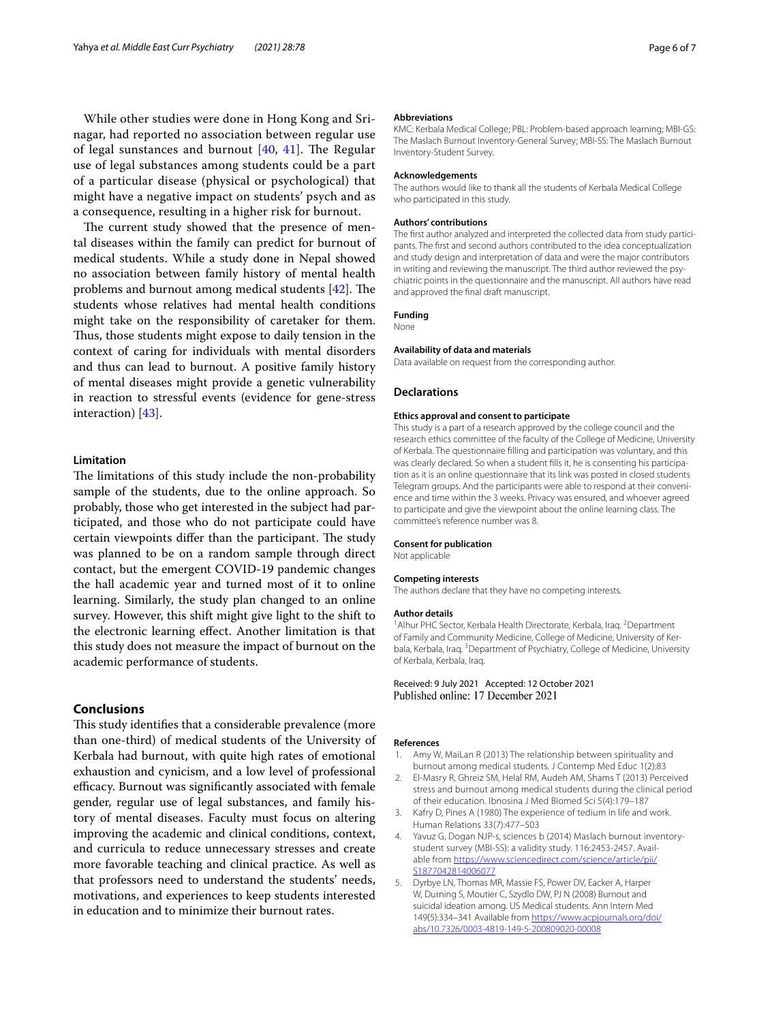While other studies were done in Hong Kong and Srinagar, had reported no association between regular use of legal sunstances and burnout  $[40, 41]$  $[40, 41]$  $[40, 41]$  $[40, 41]$  $[40, 41]$ . The Regular use of legal substances among students could be a part of a particular disease (physical or psychological) that might have a negative impact on students' psych and as a consequence, resulting in a higher risk for burnout.

The current study showed that the presence of mental diseases within the family can predict for burnout of medical students. While a study done in Nepal showed no association between family history of mental health problems and burnout among medical students  $[42]$  $[42]$ . The students whose relatives had mental health conditions might take on the responsibility of caretaker for them. Thus, those students might expose to daily tension in the context of caring for individuals with mental disorders and thus can lead to burnout. A positive family history of mental diseases might provide a genetic vulnerability in reaction to stressful events (evidence for gene-stress interaction) [\[43](#page-6-32)].

## **Limitation**

The limitations of this study include the non-probability sample of the students, due to the online approach. So probably, those who get interested in the subject had participated, and those who do not participate could have certain viewpoints differ than the participant. The study was planned to be on a random sample through direct contact, but the emergent COVID-19 pandemic changes the hall academic year and turned most of it to online learning. Similarly, the study plan changed to an online survey. However, this shift might give light to the shift to the electronic learning efect. Another limitation is that this study does not measure the impact of burnout on the academic performance of students.

# **Conclusions**

This study identifies that a considerable prevalence (more than one-third) of medical students of the University of Kerbala had burnout, with quite high rates of emotional exhaustion and cynicism, and a low level of professional efficacy. Burnout was significantly associated with female gender, regular use of legal substances, and family history of mental diseases. Faculty must focus on altering improving the academic and clinical conditions, context, and curricula to reduce unnecessary stresses and create more favorable teaching and clinical practice. As well as that professors need to understand the students' needs, motivations, and experiences to keep students interested in education and to minimize their burnout rates.

#### **Abbreviations**

KMC: Kerbala Medical College; PBL: Problem-based approach learning; MBI-GS: The Maslach Burnout Inventory-General Survey; MBI-SS: The Maslach Burnout Inventory-Student Survey.

#### **Acknowledgements**

The authors would like to thank all the students of Kerbala Medical College who participated in this study.

#### **Authors' contributions**

The frst author analyzed and interpreted the collected data from study participants. The frst and second authors contributed to the idea conceptualization and study design and interpretation of data and were the major contributors in writing and reviewing the manuscript. The third author reviewed the psychiatric points in the questionnaire and the manuscript. All authors have read and approved the fnal draft manuscript.

## **Funding**

None

## **Availability of data and materials**

Data available on request from the corresponding author.

## **Declarations**

#### **Ethics approval and consent to participate**

This study is a part of a research approved by the college council and the research ethics committee of the faculty of the College of Medicine, University of Kerbala. The questionnaire flling and participation was voluntary, and this was clearly declared. So when a student flls it, he is consenting his participation as it is an online questionnaire that its link was posted in closed students Telegram groups. And the participants were able to respond at their convenience and time within the 3 weeks. Privacy was ensured, and whoever agreed to participate and give the viewpoint about the online learning class. The committee's reference number was 8.

#### **Consent for publication**

Not applicable

#### **Competing interests**

The authors declare that they have no competing interests.

#### **Author details**

<sup>1</sup> Alhur PHC Sector, Kerbala Health Directorate, Kerbala, Iraq. <sup>2</sup> Department of Family and Community Medicine, College of Medicine, University of Kerbala, Kerbala, Iraq. <sup>3</sup> Department of Psychiatry, College of Medicine, University of Kerbala, Kerbala, Iraq.

#### Received: 9 July 2021 Accepted: 12 October 2021 Published online: 17 December 2021

#### **References**

- <span id="page-5-0"></span>1. Amy W, MaiLan R (2013) The relationship between spirituality and burnout among medical students. J Contemp Med Educ 1(2):83
- <span id="page-5-3"></span>2. El-Masry R, Ghreiz SM, Helal RM, Audeh AM, Shams T (2013) Perceived stress and burnout among medical students during the clinical period of their education. Ibnosina J Med Biomed Sci 5(4):179–187
- 3. Kafry D, Pines A (1980) The experience of tedium in life and work. Human Relations 33(7):477–503
- <span id="page-5-1"></span>Yavuz G, Dogan NJP-s, sciences b (2014) Maslach burnout inventorystudent survey (MBI-SS): a validity study. 116:2453-2457. Available from [https://www.sciencedirect.com/science/article/pii/](https://www.sciencedirect.com/science/article/pii/S1877042814006077) [S1877042814006077](https://www.sciencedirect.com/science/article/pii/S1877042814006077)
- <span id="page-5-2"></span>5. Dyrbye LN, Thomas MR, Massie FS, Power DV, Eacker A, Harper W, Durning S, Moutier C, Szydlo DW, PJ N (2008) Burnout and suicidal ideation among. US Medical students. Ann Intern Med 149(5):334–341 Available from [https://www.acpjournals.org/doi/](https://www.acpjournals.org/doi/abs/10.7326/0003-4819-149-5-200809020-00008) [abs/10.7326/0003-4819-149-5-200809020-00008](https://www.acpjournals.org/doi/abs/10.7326/0003-4819-149-5-200809020-00008)